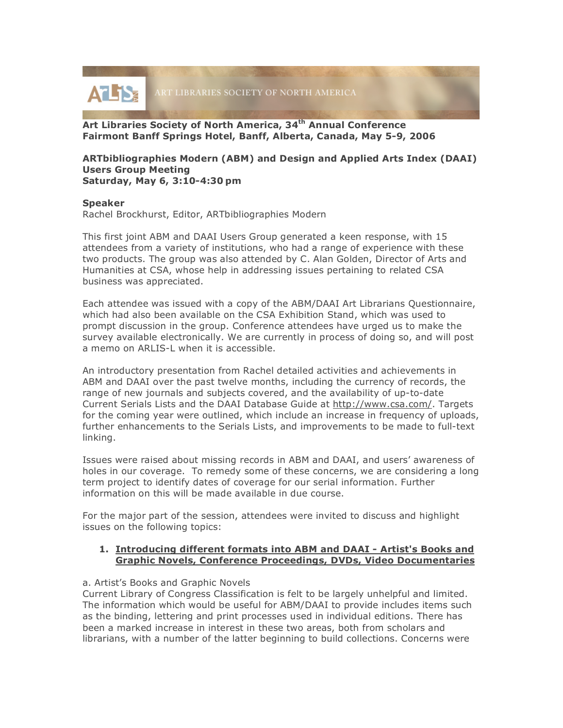

**Art Libraries Society of North America, 34th Annual Conference Fairmont Banff Springs Hotel, Banff, Alberta, Canada, May 5-9, 2006**

#### **ARTbibliographies Modern (ABM) and Design and Applied Arts Index (DAAI) Users Group Meeting Saturday, May 6, 3:10-4:30 pm**

### **Speaker**

Rachel Brockhurst, Editor, ARTbibliographies Modern

This first joint ABM and DAAI Users Group generated a keen response, with 15 attendees from a variety of institutions, who had a range of experience with these two products. The group was also attended by C. Alan Golden, Director of Arts and Humanities at CSA, whose help in addressing issues pertaining to related CSA business was appreciated.

Each attendee was issued with a copy of the ABM/DAAI Art Librarians Questionnaire, which had also been available on the CSA Exhibition Stand, which was used to prompt discussion in the group. Conference attendees have urged us to make the survey available electronically. We are currently in process of doing so, and will post a memo on ARLIS-L when it is accessible.

An introductory presentation from Rachel detailed activities and achievements in ABM and DAAI over the past twelve months, including the currency of records, the range of new journals and subjects covered, and the availability of up-to-date Current Serials Lists and the DAAI Database Guide at http://www.csa.com/. Targets for the coming year were outlined, which include an increase in frequency of uploads, further enhancements to the Serials Lists, and improvements to be made to full-text linking.

Issues were raised about missing records in ABM and DAAI, and users' awareness of holes in our coverage. To remedy some of these concerns, we are considering a long term project to identify dates of coverage for our serial information. Further information on this will be made available in due course.

For the major part of the session, attendees were invited to discuss and highlight issues on the following topics:

### **1. Introducing different formats into ABM and DAAI - Artist's Books and Graphic Novels, Conference Proceedings, DVDs, Video Documentaries**

#### a. Artist's Books and Graphic Novels

Current Library of Congress Classification is felt to be largely unhelpful and limited. The information which would be useful for ABM/DAAI to provide includes items such as the binding, lettering and print processes used in individual editions. There has been a marked increase in interest in these two areas, both from scholars and librarians, with a number of the latter beginning to build collections. Concerns were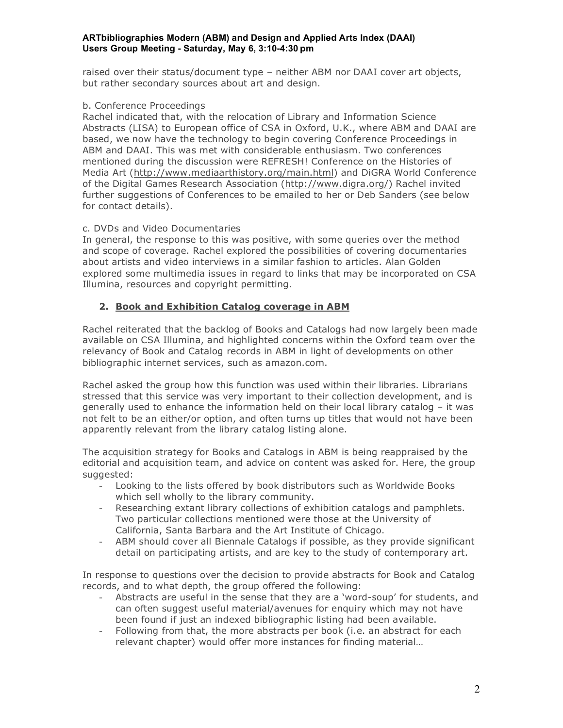### **ARTbibliographies Modern (ABM) and Design and Applied Arts Index (DAAI) Users Group Meeting - Saturday, May 6, 3:10-4:30 pm**

raised over their status/document type – neither ABM nor DAAI cover art objects, but rather secondary sources about art and design.

## b. Conference Proceedings

Rachel indicated that, with the relocation of Library and Information Science Abstracts (LISA) to European office of CSA in Oxford, U.K., where ABM and DAAI are based, we now have the technology to begin covering Conference Proceedings in ABM and DAAI. This was met with considerable enthusiasm. Two conferences mentioned during the discussion were REFRESH! Conference on the Histories of Media Art (http://www.mediaarthistory.org/main.html) and DiGRA World Conference of the Digital Games Research Association (http://www.digra.org/) Rachel invited further suggestions of Conferences to be emailed to her or Deb Sanders (see below for contact details).

## c. DVDs and Video Documentaries

In general, the response to this was positive, with some queries over the method and scope of coverage. Rachel explored the possibilities of covering documentaries about artists and video interviews in a similar fashion to articles. Alan Golden explored some multimedia issues in regard to links that may be incorporated on CSA Illumina, resources and copyright permitting.

## **2. Book and Exhibition Catalog coverage in ABM**

Rachel reiterated that the backlog of Books and Catalogs had now largely been made available on CSA Illumina, and highlighted concerns within the Oxford team over the relevancy of Book and Catalog records in ABM in light of developments on other bibliographic internet services, such as amazon.com.

Rachel asked the group how this function was used within their libraries. Librarians stressed that this service was very important to their collection development, and is generally used to enhance the information held on their local library catalog – it was not felt to be an either/or option, and often turns up titles that would not have been apparently relevant from the library catalog listing alone.

The acquisition strategy for Books and Catalogs in ABM is being reappraised by the editorial and acquisition team, and advice on content was asked for. Here, the group suggested:

- Looking to the lists offered by book distributors such as Worldwide Books which sell wholly to the library community.
- Researching extant library collections of exhibition catalogs and pamphlets. Two particular collections mentioned were those at the University of California, Santa Barbara and the Art Institute of Chicago.
- ABM should cover all Biennale Catalogs if possible, as they provide significant detail on participating artists, and are key to the study of contemporary art.

In response to questions over the decision to provide abstracts for Book and Catalog records, and to what depth, the group offered the following:

- Abstracts are useful in the sense that they are a 'word-soup' for students, and can often suggest useful material/avenues for enquiry which may not have been found if just an indexed bibliographic listing had been available.
- Following from that, the more abstracts per book (i.e. an abstract for each relevant chapter) would offer more instances for finding material…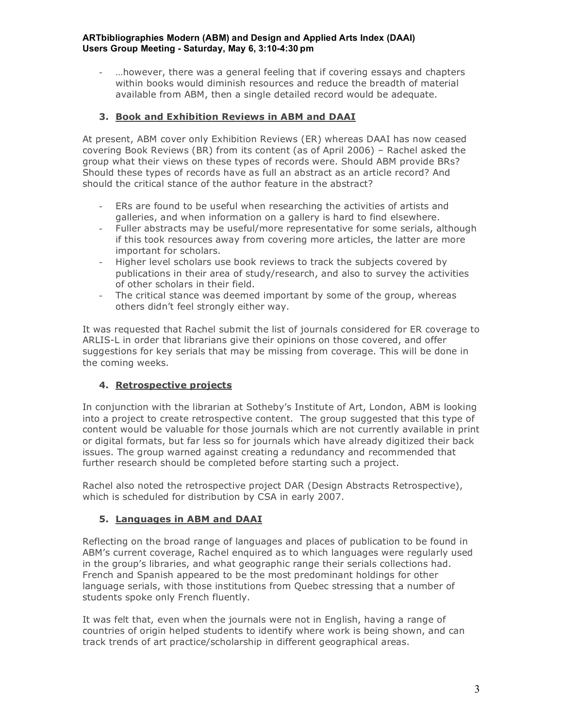### **ARTbibliographies Modern (ABM) and Design and Applied Arts Index (DAAI) Users Group Meeting - Saturday, May 6, 3:10-4:30 pm**

...however, there was a general feeling that if covering essays and chapters within books would diminish resources and reduce the breadth of material available from ABM, then a single detailed record would be adequate.

# **3. Book and Exhibition Reviews in ABM and DAAI**

At present, ABM cover only Exhibition Reviews (ER) whereas DAAI has now ceased covering Book Reviews (BR) from its content (as of April 2006) – Rachel asked the group what their views on these types of records were. Should ABM provide BRs? Should these types of records have as full an abstract as an article record? And should the critical stance of the author feature in the abstract?

- ERs are found to be useful when researching the activities of artists and galleries, and when information on a gallery is hard to find elsewhere.
- Fuller abstracts may be useful/more representative for some serials, although if this took resources away from covering more articles, the latter are more important for scholars.
- Higher level scholars use book reviews to track the subjects covered by publications in their area of study/research, and also to survey the activities of other scholars in their field.
- The critical stance was deemed important by some of the group, whereas others didn't feel strongly either way.

It was requested that Rachel submit the list of journals considered for ER coverage to ARLIS-L in order that librarians give their opinions on those covered, and offer suggestions for key serials that may be missing from coverage. This will be done in the coming weeks.

# **4. Retrospective projects**

In conjunction with the librarian at Sotheby's Institute of Art, London, ABM is looking into a project to create retrospective content. The group suggested that this type of content would be valuable for those journals which are not currently available in print or digital formats, but far less so for journals which have already digitized their back issues. The group warned against creating a redundancy and recommended that further research should be completed before starting such a project.

Rachel also noted the retrospective project DAR (Design Abstracts Retrospective), which is scheduled for distribution by CSA in early 2007.

## **5. Languages in ABM and DAAI**

Reflecting on the broad range of languages and places of publication to be found in ABM's current coverage, Rachel enquired as to which languages were regularly used in the group's libraries, and what geographic range their serials collections had. French and Spanish appeared to be the most predominant holdings for other language serials, with those institutions from Quebec stressing that a number of students spoke only French fluently.

It was felt that, even when the journals were not in English, having a range of countries of origin helped students to identify where work is being shown, and can track trends of art practice/scholarship in different geographical areas.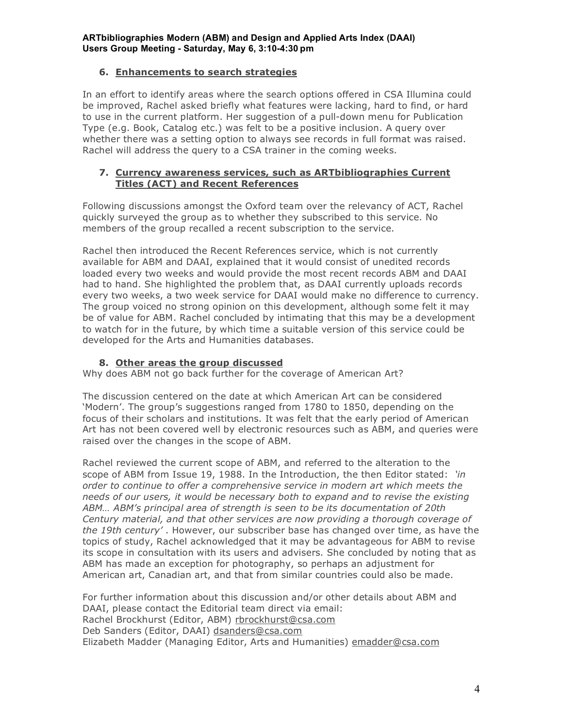## **6. Enhancements to search strategies**

In an effort to identify areas where the search options offered in CSA Illumina could be improved, Rachel asked briefly what features were lacking, hard to find, or hard to use in the current platform. Her suggestion of a pull-down menu for Publication Type (e.g. Book, Catalog etc.) was felt to be a positive inclusion. A query over whether there was a setting option to always see records in full format was raised. Rachel will address the query to a CSA trainer in the coming weeks.

### **7. Currency awareness services, such as ARTbibliographies Current Titles (ACT) and Recent References**

Following discussions amongst the Oxford team over the relevancy of ACT, Rachel quickly surveyed the group as to whether they subscribed to this service. No members of the group recalled a recent subscription to the service.

Rachel then introduced the Recent References service, which is not currently available for ABM and DAAI, explained that it would consist of unedited records loaded every two weeks and would provide the most recent records ABM and DAAI had to hand. She highlighted the problem that, as DAAI currently uploads records every two weeks, a two week service for DAAI would make no difference to currency. The group voiced no strong opinion on this development, although some felt it may be of value for ABM. Rachel concluded by intimating that this may be a development to watch for in the future, by which time a suitable version of this service could be developed for the Arts and Humanities databases.

## **8. Other areas the group discussed**

Why does ABM not go back further for the coverage of American Art?

The discussion centered on the date at which American Art can be considered 'Modern'. The group's suggestions ranged from 1780 to 1850, depending on the focus of their scholars and institutions. It was felt that the early period of American Art has not been covered well by electronic resources such as ABM, and queries were raised over the changes in the scope of ABM.

Rachel reviewed the current scope of ABM, and referred to the alteration to the scope of ABM from Issue 19, 1988. In the Introduction, the then Editor stated: *'in order to continue to offer a comprehensive service in modern art which meets the needs of our users, it would be necessary both to expand and to revise the existing ABM… ABM's principal area of strength is seen to be its documentation of 20th Century material, and that other services are now providing a thorough coverage of the 19th century'* . However, our subscriber base has changed over time, as have the topics of study, Rachel acknowledged that it may be advantageous for ABM to revise its scope in consultation with its users and advisers. She concluded by noting that as ABM has made an exception for photography, so perhaps an adjustment for American art, Canadian art, and that from similar countries could also be made.

For further information about this discussion and/or other details about ABM and DAAI, please contact the Editorial team direct via email: Rachel Brockhurst (Editor, ABM) rbrockhurst@csa.com Deb Sanders (Editor, DAAI) dsanders@csa.com Elizabeth Madder (Managing Editor, Arts and Humanities) emadder@csa.com